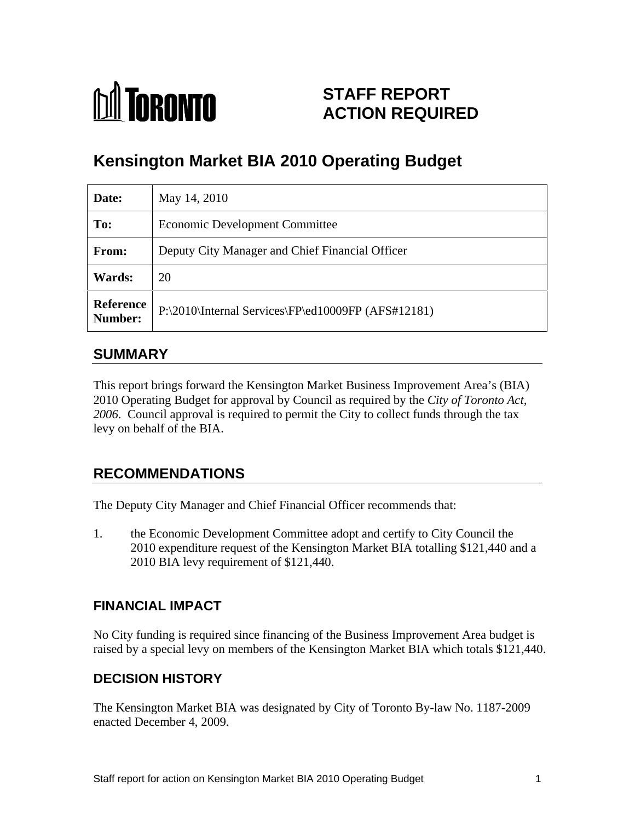

## **STAFF REPORT ACTION REQUIRED**

# **Kensington Market BIA 2010 Operating Budget**

| Date:                | May 14, 2010                                                  |
|----------------------|---------------------------------------------------------------|
| To:                  | <b>Economic Development Committee</b>                         |
| From:                | Deputy City Manager and Chief Financial Officer               |
| Wards:               | 20                                                            |
| Reference<br>Number: | $ P:\2010\text{Internal Services}\$ $P\ed10009FP (AFS#12181)$ |

### **SUMMARY**

This report brings forward the Kensington Market Business Improvement Area's (BIA) 2010 Operating Budget for approval by Council as required by the *City of Toronto Act, 2006*. Council approval is required to permit the City to collect funds through the tax levy on behalf of the BIA.

### **RECOMMENDATIONS**

The Deputy City Manager and Chief Financial Officer recommends that:

1. the Economic Development Committee adopt and certify to City Council the 2010 expenditure request of the Kensington Market BIA totalling \$121,440 and a 2010 BIA levy requirement of \$121,440.

#### **FINANCIAL IMPACT**

No City funding is required since financing of the Business Improvement Area budget is raised by a special levy on members of the Kensington Market BIA which totals \$121,440.

#### **DECISION HISTORY**

The Kensington Market BIA was designated by City of Toronto By-law No. 1187-2009 enacted December 4, 2009.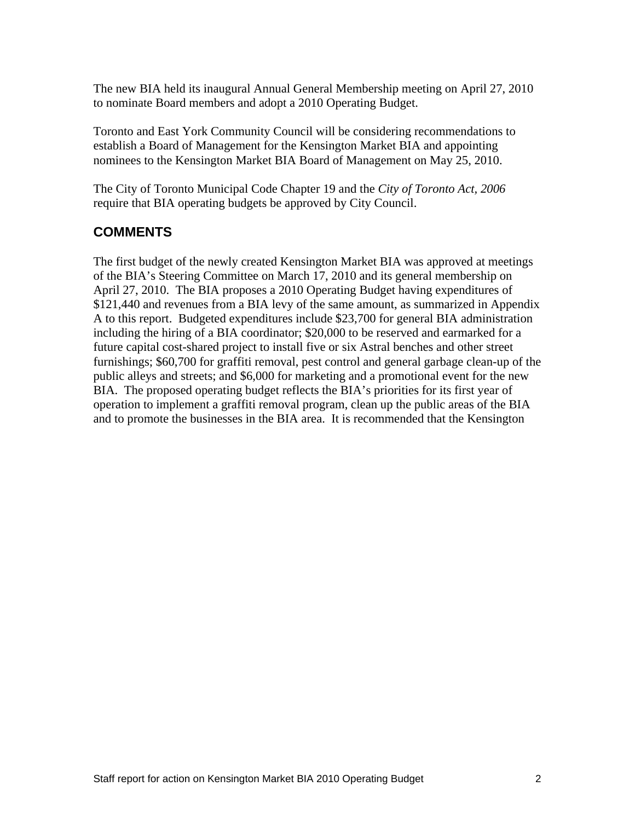The new BIA held its inaugural Annual General Membership meeting on April 27, 2010 to nominate Board members and adopt a 2010 Operating Budget.

Toronto and East York Community Council will be considering recommendations to establish a Board of Management for the Kensington Market BIA and appointing nominees to the Kensington Market BIA Board of Management on May 25, 2010.

The City of Toronto Municipal Code Chapter 19 and the *City of Toronto Act, 2006* require that BIA operating budgets be approved by City Council.

### **COMMENTS**

The first budget of the newly created Kensington Market BIA was approved at meetings of the BIA's Steering Committee on March 17, 2010 and its general membership on April 27, 2010. The BIA proposes a 2010 Operating Budget having expenditures of \$121,440 and revenues from a BIA levy of the same amount, as summarized in Appendix A to this report. Budgeted expenditures include \$23,700 for general BIA administration including the hiring of a BIA coordinator; \$20,000 to be reserved and earmarked for a future capital cost-shared project to install five or six Astral benches and other street furnishings; \$60,700 for graffiti removal, pest control and general garbage clean-up of the public alleys and streets; and \$6,000 for marketing and a promotional event for the new BIA. The proposed operating budget reflects the BIA's priorities for its first year of operation to implement a graffiti removal program, clean up the public areas of the BIA and to promote the businesses in the BIA area. It is recommended that the Kensington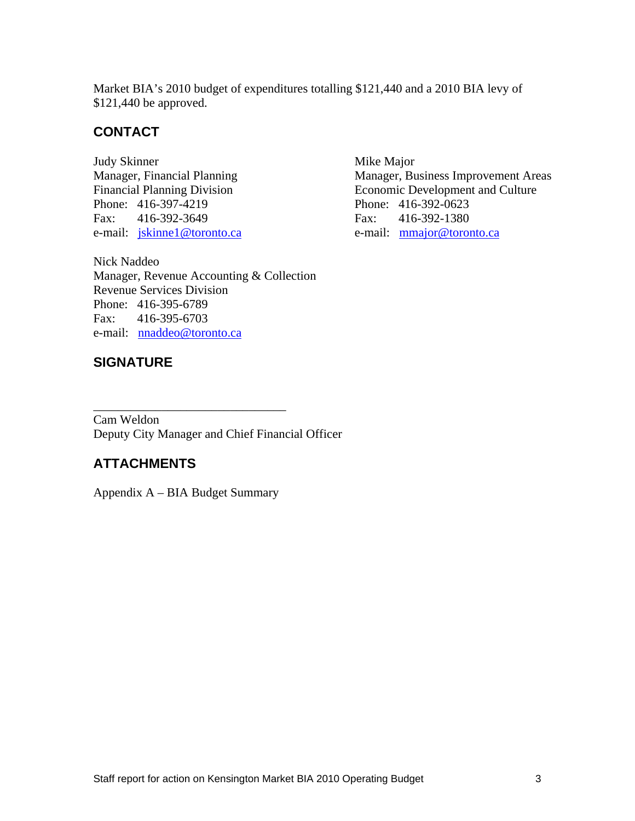Market BIA's 2010 budget of expenditures totalling \$121,440 and a 2010 BIA levy of \$121,440 be approved.

#### **CONTACT**

e-mail: jskinne1@toronto.ca e-mail: mmajor@toronto.ca

Nick Naddeo Manager, Revenue Accounting & Collection Revenue Services Division Phone: 416-395-6789 Fax: 416-395-6703 e-mail: nnaddeo@toronto.ca

#### **SIGNATURE**

Judy Skinner Mike Major Manager, Financial Planning Manager, Business Improvement Areas Financial Planning Division Economic Development and Culture Phone: 416-397-4219 Phone: 416-392-0623 Fax: 416-392-3649 Fax: 416-392-1380

 $\overline{\phantom{a}}$  , we can assume that the contract of  $\overline{\phantom{a}}$  , we can assume that the contract of  $\overline{\phantom{a}}$ Cam Weldon Deputy City Manager and Chief Financial Officer

#### **ATTACHMENTS**

Appendix A – BIA Budget Summary